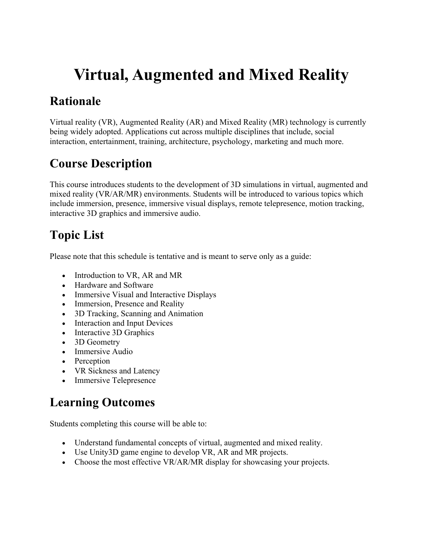# **Virtual, Augmented and Mixed Reality**

## **Rationale**

Virtual reality (VR), Augmented Reality (AR) and Mixed Reality (MR) technology is currently being widely adopted. Applications cut across multiple disciplines that include, social interaction, entertainment, training, architecture, psychology, marketing and much more.

## **Course Description**

This course introduces students to the development of 3D simulations in virtual, augmented and mixed reality (VR/AR/MR) environments. Students will be introduced to various topics which include immersion, presence, immersive visual displays, remote telepresence, motion tracking, interactive 3D graphics and immersive audio.

# **Topic List**

Please note that this schedule is tentative and is meant to serve only as a guide:

- Introduction to VR, AR and MR
- Hardware and Software
- Immersive Visual and Interactive Displays
- Immersion, Presence and Reality
- 3D Tracking, Scanning and Animation
- Interaction and Input Devices
- Interactive 3D Graphics
- 3D Geometry
- Immersive Audio
- Perception
- VR Sickness and Latency
- Immersive Telepresence

# **Learning Outcomes**

Students completing this course will be able to:

- Understand fundamental concepts of virtual, augmented and mixed reality.
- Use Unity3D game engine to develop VR, AR and MR projects.
- Choose the most effective VR/AR/MR display for showcasing your projects.